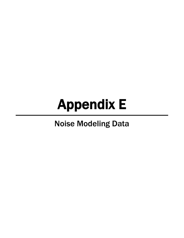# Appendix E

## Noise Modeling Data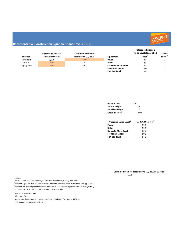

|                     |                            |                           |                             | <b>Reference Emission</b><br>Noise Levels $(L_{\text{max}})$ at 50 |                     |
|---------------------|----------------------------|---------------------------|-----------------------------|--------------------------------------------------------------------|---------------------|
|                     | <b>Distance to Nearest</b> | <b>Combined Predicted</b> |                             |                                                                    | <b>Usage</b>        |
| Location            | <b>Receptor in feet</b>    | Noise Level (Leg dBA)     | Equipment                   | feet <sup>1</sup>                                                  | Factor <sup>1</sup> |
| threshold           | 3,206                      | 55.0                      | Paver                       | 85                                                                 |                     |
| Center              | 100                        | 85.1                      | Roller                      | 85                                                                 |                     |
| <b>Staging Area</b> | 100                        | 85.1                      | <b>Concrete Mixer Truck</b> | 85                                                                 |                     |
|                     |                            |                           | <b>Front End Loader</b>     | 80                                                                 |                     |
|                     |                            |                           | <b>Flat Bed Truck</b>       | 84                                                                 |                     |

| <b>Ground Type</b>         | hard |
|----------------------------|------|
| <b>Source Height</b>       | 8    |
| <b>Receiver Height</b>     | 5    |
| Ground Factor <sup>2</sup> | 0.00 |

| Predicted Noise Level <sup>3</sup> | $L_{eq}$ dBA at 50 feet <sup>3</sup> |
|------------------------------------|--------------------------------------|
| Paver                              | 85.0                                 |
| Roller                             | 85.0                                 |
| <b>Concrete Mixer Truck</b>        | 85.0                                 |
| <b>Front End Loader</b>            | 80.0                                 |
| <b>Flat Bed Truck</b>              | 84.0                                 |

**Combined Predicted Noise Level (Leq dBA at 50 feet)**

91.1

Sources:

 $1$  Obtained from the FHWA Roadway Construction Noise Model, January 2006. Table 1.

<sup>2</sup> Based on Figure 6-5 from the Federal Transit Noise and Vibration Impact Assessment, 2006 (pg 6-23).

<sup>3</sup> Based on the following from the Federal Transit Noise and Vibration Impact Assessment, 2006 (pg 12-3).

Leq(equip) = E.L.+10\*log (U.F.) ‐ 20\*log (D/50) ‐ 10\*G\*log (D/50)

Where: E.L. = Emission Level;

U.F.= Usage Factor;

G = Constant that accounts for topography and ground effects (FTA 2006: pg 6‐23); and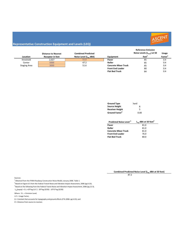

|                     |                            |                           |                             | <b>Reference Emission</b>             |                     |
|---------------------|----------------------------|---------------------------|-----------------------------|---------------------------------------|---------------------|
|                     | <b>Distance to Nearest</b> | <b>Combined Predicted</b> |                             | Noise Levels $(L_{\text{max}})$ at 50 | Usage               |
| Location            | <b>Receptor in feet</b>    | Noise Level (Leg dBA)     | Equipment                   | feet <sup>1</sup>                     | Factor <sup>1</sup> |
| threshold           | 2,027                      | 55.0                      | Paver                       | 85                                    | 0.4                 |
| Center              | 5000                       | 47.2                      | Roller                      | 85                                    | 0.4                 |
| <b>Staging Area</b> | 3000                       | 51.6                      | <b>Concrete Mixer Truck</b> | 85                                    | 0.4                 |
|                     |                            |                           | <b>Front End Loader</b>     | 80                                    | 0.4                 |
|                     |                            |                           | <b>Flat Bed Truck</b>       | 84                                    | 0.4                 |

| <b>Ground Type</b>         | hard |
|----------------------------|------|
| <b>Source Height</b>       | 8    |
| <b>Receiver Height</b>     | 5    |
| Ground Factor <sup>2</sup> | 0.00 |

| Predicted Noise Level <sup>3</sup> | $L_{eq}$ dBA at 50 feet <sup>3</sup> |
|------------------------------------|--------------------------------------|
| Paver                              | 81.0                                 |
| Roller                             | 81.0                                 |
| <b>Concrete Mixer Truck</b>        | 81.0                                 |
| <b>Front End Loader</b>            | 76.0                                 |
| <b>Flat Bed Truck</b>              | 80.0                                 |

**Combined Predicted Noise Level (Leq dBA at 50 feet)**

87.2

Sources:

 $1$  Obtained from the FHWA Roadway Construction Noise Model, January 2006. Table 1.

<sup>2</sup> Based on Figure 6-5 from the Federal Transit Noise and Vibration Impact Assessment, 2006 (pg 6-23).

<sup>3</sup> Based on the following from the Federal Transit Noise and Vibration Impact Assessment, 2006 (pg 12-3).

Leq(equip) = E.L.+10\*log (U.F.) ‐ 20\*log (D/50) ‐ 10\*G\*log (D/50)

Where: E.L. = Emission Level;

U.F.= Usage Factor;

G = Constant that accounts for topography and ground effects (FTA 2006: pg 6‐23); and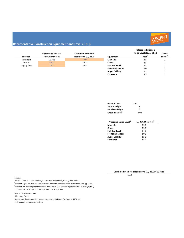

|                     | <b>Distance to Nearest</b> | <b>Combined Predicted</b> |                         | <b>Reference Emission</b><br>Noise Levels $(L_{\text{max}})$ at 50<br>feet <sup>1</sup> | Usage               |
|---------------------|----------------------------|---------------------------|-------------------------|-----------------------------------------------------------------------------------------|---------------------|
| Location            | <b>Receptor in feet</b>    | Noise Level (Leg dBA)     | <b>Equipment</b>        |                                                                                         | Factor <sup>1</sup> |
| threshold           | 11,303                     | 45.0                      | Man Lift                | 85                                                                                      |                     |
| Center              | 5000                       | 52.1                      | Crane                   | 85                                                                                      |                     |
| <b>Staging Area</b> | 3000                       | 56.5                      | <b>Flat Bed Truck</b>   | 84                                                                                      |                     |
|                     |                            |                           | <b>Front End Loader</b> | 80                                                                                      |                     |
|                     |                            |                           | <b>Auger Drill Rig</b>  | 85                                                                                      |                     |
|                     |                            |                           | <b>Excavator</b>        | 85                                                                                      |                     |

| <b>Ground Type</b>         | hard |
|----------------------------|------|
| <b>Source Height</b>       | 8    |
| <b>Receiver Height</b>     | 5    |
| Ground Factor <sup>2</sup> | 0.00 |

| Predicted Noise Level <sup>3</sup> | $L_{eq}$ dBA at 50 feet <sup>3</sup> |
|------------------------------------|--------------------------------------|
| <b>Man Lift</b>                    | 85.0                                 |
| Crane                              | 85.0                                 |
| <b>Flat Bed Truck</b>              | 84.0                                 |
| <b>Front End Loader</b>            | 80.0                                 |
| <b>Auger Drill Rig</b>             | 85.0                                 |
| <b>Excavator</b>                   | 85.0                                 |

**Combined Predicted Noise Level (Leq dBA at 50 feet)**

92.1

Sources:

 $1$  Obtained from the FHWA Roadway Construction Noise Model, January 2006. Table 1.

<sup>2</sup> Based on Figure 6-5 from the Federal Transit Noise and Vibration Impact Assessment, 2006 (pg 6-23).

<sup>3</sup> Based on the following from the Federal Transit Noise and Vibration Impact Assessment, 2006 (pg 12-3).

Leq(equip) = E.L.+10\*log (U.F.) ‐ 20\*log (D/50) ‐ 10\*G\*log (D/50)

Where: E.L. = Emission Level;

U.F.= Usage Factor;

G = Constant that accounts for topography and ground effects (FTA 2006: pg 6‐23); and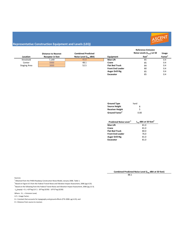

| Location            | <b>Distance to Nearest</b><br><b>Receptor in feet</b> | <b>Combined Predicted</b><br>Noise Level (L <sub>eg</sub> dBA) | <b>Equipment</b>        | <b>Reference Emission</b><br>Noise Levels $(L_{\text{max}})$ at 50<br>feet <sup>1</sup> | <b>Usage</b><br>Factor <sup>1</sup> |
|---------------------|-------------------------------------------------------|----------------------------------------------------------------|-------------------------|-----------------------------------------------------------------------------------------|-------------------------------------|
| threshold           | 7,149                                                 | 45.0                                                           | Man Lift                | 85                                                                                      | 0.4                                 |
|                     |                                                       |                                                                |                         |                                                                                         |                                     |
| Center              | 5000                                                  | 48.1                                                           | Crane                   | 85                                                                                      | 0.4                                 |
| <b>Staging Area</b> | 3000                                                  | 52.5                                                           | <b>Flat Bed Truck</b>   | 84                                                                                      | 0.4                                 |
|                     |                                                       |                                                                | <b>Front End Loader</b> | 80                                                                                      | 0.4                                 |
|                     |                                                       |                                                                | <b>Auger Drill Rig</b>  | 85                                                                                      | 0.4                                 |
|                     |                                                       |                                                                | <b>Excavator</b>        | 85                                                                                      | 0.4                                 |

| <b>Ground Type</b>         | hard |
|----------------------------|------|
| <b>Source Height</b>       | 8    |
| <b>Receiver Height</b>     | 5    |
| Ground Factor <sup>2</sup> | 0.00 |

| Predicted Noise Level <sup>3</sup> | $L_{eq}$ dBA at 50 feet <sup>3</sup> |
|------------------------------------|--------------------------------------|
| <b>Man Lift</b>                    | 81.0                                 |
| Crane                              | 81.0                                 |
| <b>Flat Bed Truck</b>              | 80.0                                 |
| <b>Front End Loader</b>            | 76.0                                 |
| <b>Auger Drill Rig</b>             | 81.0                                 |
| <b>Excavator</b>                   | 81.0                                 |

**Combined Predicted Noise Level (Leq dBA at 50 feet)**

88.1

Sources:

 $1$  Obtained from the FHWA Roadway Construction Noise Model, January 2006. Table 1.

<sup>2</sup> Based on Figure 6-5 from the Federal Transit Noise and Vibration Impact Assessment, 2006 (pg 6-23).

<sup>3</sup> Based on the following from the Federal Transit Noise and Vibration Impact Assessment, 2006 (pg 12-3).

Leq(equip) = E.L.+10\*log (U.F.) ‐ 20\*log (D/50) ‐ 10\*G\*log (D/50)

Where: E.L. = Emission Level;

U.F.= Usage Factor;

G = Constant that accounts for topography and ground effects (FTA 2006: pg 6‐23); and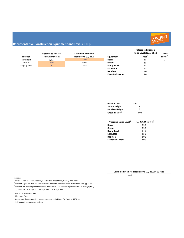

| Location            | <b>Distance to Nearest</b><br><b>Receptor in feet</b> | <b>Combined Predicted</b><br>Noise Level (Leg dBA) | Equipment               | <b>Reference Emission</b><br>Noise Levels $(L_{\text{max}})$ at 50<br>feet <sup>1</sup> | <b>Usage</b><br>Factor <sup>1</sup> |
|---------------------|-------------------------------------------------------|----------------------------------------------------|-------------------------|-----------------------------------------------------------------------------------------|-------------------------------------|
| threshold           | 3,327                                                 | 55.0                                               | <b>Dozer</b>            | 85                                                                                      |                                     |
| Center              | 600                                                   | 69.9                                               | Grader                  | 85                                                                                      |                                     |
| <b>Staging Area</b> | 2500                                                  | 57.5                                               | <b>Dump Truck</b>       | 84                                                                                      |                                     |
|                     |                                                       |                                                    | <b>Excavator</b>        | 85                                                                                      |                                     |
|                     |                                                       |                                                    | <b>Backhoe</b>          | 80                                                                                      |                                     |
|                     |                                                       |                                                    | <b>Front End Loader</b> | 80                                                                                      |                                     |

| <b>Ground Type</b>         | hard |
|----------------------------|------|
| <b>Source Height</b>       | 8    |
| <b>Receiver Height</b>     | 5    |
| Ground Factor <sup>2</sup> | 0.00 |

| Predicted Noise Level <sup>3</sup> | $L_{eq}$ dBA at 50 feet <sup>3</sup> |
|------------------------------------|--------------------------------------|
| Dozer                              | 85.0                                 |
| Grader                             | 85.0                                 |
| <b>Dump Truck</b>                  | 84.0                                 |
| <b>Excavator</b>                   | 85.0                                 |
| <b>Backhoe</b>                     | 80.0                                 |
| <b>Front End Loader</b>            | 80.0                                 |

**Combined Predicted Noise Level (Leq dBA at 50 feet)**

91.5

Sources:

 $1$  Obtained from the FHWA Roadway Construction Noise Model, January 2006. Table 1.

<sup>2</sup> Based on Figure 6-5 from the Federal Transit Noise and Vibration Impact Assessment, 2006 (pg 6-23).

<sup>3</sup> Based on the following from the Federal Transit Noise and Vibration Impact Assessment, 2006 (pg 12-3).

Leq(equip) = E.L.+10\*log (U.F.) ‐ 20\*log (D/50) ‐ 10\*G\*log (D/50)

Where: E.L. = Emission Level;

U.F.= Usage Factor;

G = Constant that accounts for topography and ground effects (FTA 2006: pg 6‐23); and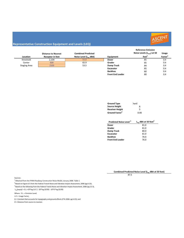

|                     | <b>Distance to Nearest</b> | <b>Combined Predicted</b> |                         | <b>Reference Emission</b><br>Noise Levels $(L_{\text{max}})$ at 50 | Usage               |
|---------------------|----------------------------|---------------------------|-------------------------|--------------------------------------------------------------------|---------------------|
| Location            | <b>Receptor in feet</b>    | Noise Level (Leg dBA)     | Equipment               | feet <sup>1</sup>                                                  | Factor <sup>1</sup> |
| threshold           | 2,104                      | 55.0                      | <b>Dozer</b>            | 85                                                                 | 0.4                 |
| Center              | 600                        | 65.9                      | Grader                  | 85                                                                 | 0.4                 |
| <b>Staging Area</b> | 2500                       | 53.5                      | <b>Dump Truck</b>       | 84                                                                 | 0.4                 |
|                     |                            |                           | <b>Excavator</b>        | 85                                                                 | 0.4                 |
|                     |                            |                           | <b>Backhoe</b>          | 80                                                                 | 0.4                 |
|                     |                            |                           | <b>Front End Loader</b> | 80                                                                 | 0.4                 |

| <b>Ground Type</b>         | hard |
|----------------------------|------|
| <b>Source Height</b>       | 8    |
| <b>Receiver Height</b>     | 5    |
| Ground Factor <sup>2</sup> | 0.00 |

| Predicted Noise Level <sup>3</sup> | $L_{eq}$ dBA at 50 feet <sup>3</sup> |
|------------------------------------|--------------------------------------|
| Dozer                              | 81.0                                 |
| Grader                             | 81.0                                 |
| <b>Dump Truck</b>                  | 80.0                                 |
| <b>Excavator</b>                   | 81.0                                 |
| <b>Backhoe</b>                     | 76.0                                 |
| <b>Front End Loader</b>            | 76.0                                 |

**Combined Predicted Noise Level (Leq dBA at 50 feet)**

87.5

Sources:

 $1$  Obtained from the FHWA Roadway Construction Noise Model, January 2006. Table 1.

<sup>2</sup> Based on Figure 6-5 from the Federal Transit Noise and Vibration Impact Assessment, 2006 (pg 6-23).

<sup>3</sup> Based on the following from the Federal Transit Noise and Vibration Impact Assessment, 2006 (pg 12-3).

Leq(equip) = E.L.+10\*log (U.F.) ‐ 20\*log (D/50) ‐ 10\*G\*log (D/50)

Where: E.L. = Emission Level;

U.F.= Usage Factor;

G = Constant that accounts for topography and ground effects (FTA 2006: pg 6‐23); and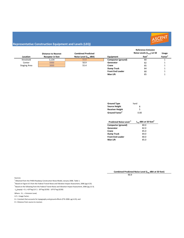

|                     | <b>Distance to Nearest</b> | <b>Combined Predicted</b> |                         | <b>Reference Emission</b><br>Noise Levels $(L_{\text{max}})$ at 50 | Usage               |
|---------------------|----------------------------|---------------------------|-------------------------|--------------------------------------------------------------------|---------------------|
| Location            | <b>Receptor in feet</b>    | Noise Level (Leg dBA)     | Equipment               | feet <sup>1</sup>                                                  | Factor <sup>1</sup> |
| threshold           | 3,134                      | 55.0                      | Compactor (ground)      | 80                                                                 |                     |
| Center              | 5000                       | 50.9                      | Generator               | 82                                                                 |                     |
| <b>Staging Area</b> | 3000                       | 55.4                      | Crane                   | 85                                                                 |                     |
|                     |                            |                           | <b>Dump Truck</b>       | 84                                                                 |                     |
|                     |                            |                           | <b>Front End Loader</b> | 80                                                                 |                     |
|                     |                            |                           | <b>Man Lift</b>         | 85                                                                 |                     |

| <b>Ground Type</b>         | hard |
|----------------------------|------|
| <b>Source Height</b>       | 8    |
| <b>Receiver Height</b>     | 5    |
| Ground Factor <sup>2</sup> | 0.00 |

| Predicted Noise Level <sup>3</sup> | $L_{eq}$ dBA at 50 feet <sup>3</sup> |
|------------------------------------|--------------------------------------|
| Compactor (ground)                 | 80.0                                 |
| Generator                          | 82.0                                 |
| Crane                              | 85.0                                 |
| <b>Dump Truck</b>                  | 84.0                                 |
| <b>Front End Loader</b>            | 80.0                                 |
| <b>Man Lift</b>                    | 85.0                                 |

**Combined Predicted Noise Level (Leq dBA at 50 feet)**

90.9

Sources:

 $1$  Obtained from the FHWA Roadway Construction Noise Model, January 2006. Table 1.

<sup>2</sup> Based on Figure 6-5 from the Federal Transit Noise and Vibration Impact Assessment, 2006 (pg 6-23).

<sup>3</sup> Based on the following from the Federal Transit Noise and Vibration Impact Assessment, 2006 (pg 12-3).

Leq(equip) = E.L.+10\*log (U.F.) ‐ 20\*log (D/50) ‐ 10\*G\*log (D/50)

Where: E.L. = Emission Level;

U.F.= Usage Factor;

G = Constant that accounts for topography and ground effects (FTA 2006: pg 6‐23); and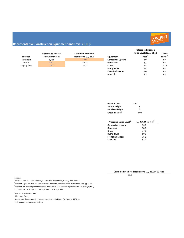

|                     | <b>Distance to Nearest</b> | <b>Combined Predicted</b> |                         | <b>Reference Emission</b><br>Noise Levels $(L_{\text{max}})$ at 50 | Usage               |
|---------------------|----------------------------|---------------------------|-------------------------|--------------------------------------------------------------------|---------------------|
| Location            | <b>Receptor in feet</b>    | Noise Level (Leg dBA)     | Equipment               | feet <sup>1</sup>                                                  | Factor <sup>1</sup> |
| threshold           | 5,769                      | 45.0                      | Compactor (ground)      | 80                                                                 | 0.4                 |
| Center              | 5000                       | 46.2                      | Generator               | 82                                                                 | 0.4                 |
| <b>Staging Area</b> | 3000                       | 50.7                      | Crane                   | 85                                                                 | 0.16                |
|                     |                            |                           | <b>Dump Truck</b>       | 84                                                                 | 0.4                 |
|                     |                            |                           | <b>Front End Loader</b> | 80                                                                 | 0.4                 |
|                     |                            |                           | <b>Man Lift</b>         | 85                                                                 | 0.4                 |

| <b>Ground Type</b>         | hard |
|----------------------------|------|
| <b>Source Height</b>       | 8    |
| <b>Receiver Height</b>     | 5    |
| Ground Factor <sup>2</sup> | 0.00 |

| Predicted Noise Level <sup>3</sup> | $L_{eq}$ dBA at 50 feet <sup>3</sup> |
|------------------------------------|--------------------------------------|
| Compactor (ground)                 | 76.0                                 |
| Generator                          | 78.0                                 |
| Crane                              | 77.0                                 |
| <b>Dump Truck</b>                  | 80.0                                 |
| <b>Front End Loader</b>            | 76.0                                 |
| <b>Man Lift</b>                    | 81.0                                 |

**Combined Predicted Noise Level (Leq dBA at 50 feet)**

86.2

Sources:

 $1$  Obtained from the FHWA Roadway Construction Noise Model, January 2006. Table 1.

<sup>2</sup> Based on Figure 6-5 from the Federal Transit Noise and Vibration Impact Assessment, 2006 (pg 6-23).

<sup>3</sup> Based on the following from the Federal Transit Noise and Vibration Impact Assessment, 2006 (pg 12-3).

Leq(equip) = E.L.+10\*log (U.F.) ‐ 20\*log (D/50) ‐ 10\*G\*log (D/50)

Where: E.L. = Emission Level;

U.F.= Usage Factor;

G = Constant that accounts for topography and ground effects (FTA 2006: pg 6‐23); and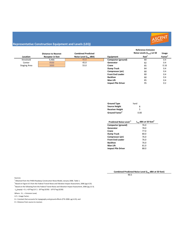

|                     | <b>Distance to Nearest</b> | <b>Combined Predicted</b> |                           | <b>Reference Emission</b><br>Noise Levels $(L_{\text{max}})$ at 50 | <b>Usage</b>        |
|---------------------|----------------------------|---------------------------|---------------------------|--------------------------------------------------------------------|---------------------|
| Location            | <b>Receptor in feet</b>    | Noise Level (Leg dBA)     | Equipment                 | feet <sup>1</sup>                                                  | Factor <sup>1</sup> |
| threshold           | 9,466                      | 45.0                      | Compactor (ground)        | 80                                                                 | 0.4                 |
| Center              | 9500                       | 45.0                      | Generator                 | 82                                                                 | 0.4                 |
| <b>Staging Area</b> | 3000                       | 55.0                      | Crane                     | 85                                                                 | 0.16                |
|                     |                            |                           | <b>Dump Truck</b>         | 84                                                                 | 0.4                 |
|                     |                            |                           | Compressor (air)          | 80                                                                 | 0.4                 |
|                     |                            |                           | <b>Front End Loader</b>   | 80                                                                 | 0.4                 |
|                     |                            |                           | <b>Backhoe</b>            | 80                                                                 | 0.4                 |
|                     |                            |                           | <b>Man Lift</b>           | 85                                                                 | 0.4                 |
|                     |                            |                           | <b>Impact Pile Driver</b> | 95                                                                 | 0.2                 |

| <b>Ground Type</b>         | hard |
|----------------------------|------|
| <b>Source Height</b>       | 8    |
| <b>Receiver Height</b>     | 5    |
| Ground Factor <sup>2</sup> | 0.00 |

| Predicted Noise Level <sup>3</sup> | $L_{eq}$ dBA at 50 feet <sup>3</sup> |
|------------------------------------|--------------------------------------|
| Compactor (ground)                 | 76.0                                 |
| Generator                          | 78.0                                 |
| Crane                              | 77.0                                 |
| <b>Dump Truck</b>                  | 80.0                                 |
| Compressor (air)                   | 76.0                                 |
| <b>Front End Loader</b>            | 76.0                                 |
| <b>Backhoe</b>                     | 76.0                                 |
| <b>Man Lift</b>                    | 81.0                                 |
| <b>Impact Pile Driver</b>          | 88.0                                 |

**Combined Predicted Noise Level (Leq dBA at 50 feet)**

90.5

Sources:

 $1$  Obtained from the FHWA Roadway Construction Noise Model, January 2006. Table 1.

<sup>2</sup> Based on Figure 6-5 from the Federal Transit Noise and Vibration Impact Assessment, 2006 (pg 6-23).

<sup>3</sup> Based on the following from the Federal Transit Noise and Vibration Impact Assessment, 2006 (pg 12-3).

Leq(equip) = E.L.+10\*log (U.F.) ‐ 20\*log (D/50) ‐ 10\*G\*log (D/50)

Where: E.L. = Emission Level;

U.F.= Usage Factor;

G = Constant that accounts for topography and ground effects (FTA 2006: pg 6‐23); and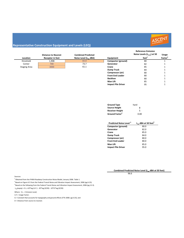

|                     |                            |                           |                         | <b>Reference Emission</b>             |                     |
|---------------------|----------------------------|---------------------------|-------------------------|---------------------------------------|---------------------|
|                     | <b>Distance to Nearest</b> | <b>Combined Predicted</b> |                         | Noise Levels $(L_{\text{max}})$ at 50 | <b>Usage</b>        |
| Location            | <b>Receptor in feet</b>    | Noise Level (Leg dBA)     | Equipment               | feet <sup>+</sup>                     | Factor <sup>1</sup> |
| threshold           | 1,908                      | 65.0                      | Compactor (ground)      | 80                                    |                     |
| Center              | 700                        | 73.7                      | Generator               | 82                                    |                     |
| <b>Staging Area</b> | 3000                       | 61.1                      | Crane                   | 85                                    |                     |
|                     |                            |                           | <b>Dump Truck</b>       | 84                                    |                     |
|                     |                            |                           | Compressor (air)        | 80                                    |                     |
|                     |                            |                           | <b>Front End Loader</b> | 80                                    |                     |
|                     |                            |                           | <b>Backhoe</b>          | 80                                    |                     |

| <b>Ground Type</b>         | hard |
|----------------------------|------|
| <b>Source Height</b>       | 8    |
| <b>Receiver Height</b>     | 5    |
| Ground Factor <sup>2</sup> | 0.00 |

**Impact Pile Driver** 

| Predicted Noise Level <sup>3</sup> | $L_{eq}$ dBA at 50 feet <sup>3</sup> |
|------------------------------------|--------------------------------------|
| Compactor (ground)                 | 80.0                                 |
| Generator                          | 82.0                                 |
| Crane                              | 85.0                                 |
| Dump Truck                         | 84.0                                 |
| Compressor (air)                   | 80.0                                 |
| <b>Front End Loader</b>            | 80.0                                 |
| <b>Man Lift</b>                    | 85.0                                 |
| <b>Impact Pile Driver</b>          | 95.0                                 |

**Man Lift** 1 **Man Lift** 1 **1**<br> **1 Impact Pile Driver** 1 **1** 95 1

85 95

96.6 Combined Predicted Noise Level (L<sub>ea</sub> dBA at 50 feet)

Sources:

<sup>1</sup> Obtained from the FHWA Roadway Construction Noise Model, January 2006. Table 1.

<sup>2</sup> Based on Figure 6-5 from the Federal Transit Noise and Vibration Impact Assessment, 2006 (pg 6-23).

 $3$  Based on the following from the Federal Transit Noise and Vibration Impact Assessment, 2006 (pg 12-3).

Leq(equip) = E.L.+10\*log (U.F.) ‐ 20\*log (D/50) ‐ 10\*G\*log (D/50)

Where: E.L. = Emission Level;

U.F.= Usage Factor;

G = Constant that accounts for topography and ground effects (FTA 2006: pg 6‐23); and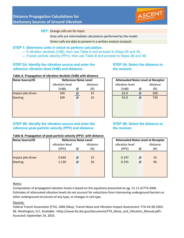

#### **KEY:** Orange cells are for input.

Grey cells are intermediate calculations performed by the model. Green cells are data to present in a written analysis (output).

#### **STEP 1: Determine units in which to perform calculation.**

- If vibration decibels (VdB), then use Table A and proceed to Steps 2A and 3A.
- If peak particle velocity (PPV), then use Table B and proceed to Steps 2B and 3B.

#### **STEP 2A: Identify the vibration source and enter the reference vibration level (VdB) and distance.**

#### **STEP 3A: Select the distance to the receiver.**

#### **Table A. Propagation of vibration decibels (VdB) with distance**

| <b>Noise Source/ID</b> | <b>Reference Noise Level</b> |     |          |  |                 |            | <b>Attenuated Noise Level at Receptor</b> |
|------------------------|------------------------------|-----|----------|--|-----------------|------------|-------------------------------------------|
|                        | vibration level              |     | distance |  | vibration level |            | distance                                  |
|                        | (VdB)<br>@                   |     | (ft)     |  |                 | (VdB)<br>@ |                                           |
| Impact pile driver     | 104                          | @   | 25       |  | 65.0            | @          | 500                                       |
| blasting               | 109                          | $@$ | 25       |  | 65.0            | @          | 730                                       |
|                        |                              |     |          |  |                 |            |                                           |
|                        |                              |     |          |  |                 |            |                                           |
|                        |                              |     |          |  |                 |            |                                           |

#### **STEP 2B: Identify the vibration source and enter the reference peak particle velocity (PPV) and distance.**

| <b>Attenuated Noise Level at Receptor</b> |          |                   |  |  |  |  |  |
|-------------------------------------------|----------|-------------------|--|--|--|--|--|
| vibration level                           |          | distance          |  |  |  |  |  |
| (VdB)                                     | @        | (f <sub>t</sub> ) |  |  |  |  |  |
| 65.0                                      | @        | 500               |  |  |  |  |  |
| 65.0                                      | $\omega$ | 730               |  |  |  |  |  |
|                                           |          |                   |  |  |  |  |  |
|                                           |          |                   |  |  |  |  |  |

#### **STEP 3B: Select the distance to the receiver.**

| <b>Reference Noise Level</b> |                   |  |                 |          |                                           |  |  |  |  |  |
|------------------------------|-------------------|--|-----------------|----------|-------------------------------------------|--|--|--|--|--|
|                              | distance          |  | vibration level | distance |                                           |  |  |  |  |  |
| @                            | (f <sub>t</sub> ) |  | (PPV)           | @        | (ft)                                      |  |  |  |  |  |
|                              |                   |  |                 |          |                                           |  |  |  |  |  |
| @                            | 25                |  | 0.197           | @        | 55                                        |  |  |  |  |  |
| @                            | 26                |  | 0.191           | @        | 85                                        |  |  |  |  |  |
|                              |                   |  |                 |          |                                           |  |  |  |  |  |
|                              |                   |  |                 |          |                                           |  |  |  |  |  |
|                              |                   |  |                 |          |                                           |  |  |  |  |  |
|                              |                   |  |                 |          | <b>Attenuated Noise Level at Receptor</b> |  |  |  |  |  |

### **Table B. Propagation of peak particle velocity (PPV) with distance**

| <b>Noise Source/ID</b>         | <b>Reference Noise Level</b>                       |   |                | <b>Attenuated Noise Level at Receptor</b> |          |          |  |  |  |
|--------------------------------|----------------------------------------------------|---|----------------|-------------------------------------------|----------|----------|--|--|--|
|                                | vibration level                                    |   | distance       | vibration level                           |          | distance |  |  |  |
|                                | (PPV)                                              | @ | (ft)           | (PPV)                                     | @        | (ft)     |  |  |  |
| Impact pile driver<br>blasting | 0.644<br>25<br>@<br>26<br>1.130<br>$^{\copyright}$ |   | 0.197<br>0.191 | @<br>@                                    | 55<br>85 |          |  |  |  |

#### Notes:

Computation of propagated vibration levels is based on the equations presented on pg. 12‐11 of FTA 2006. Estimates of attenuated vibration levels do not account for reductions from intervening underground barriers or other underground structures of any type, or changes in soil type.

#### Sources:

Federal Transit Association (FTA). 2006 (May). Transit Noise and Vibration Impact Assessment. FTA‐VA‐90‐1003‐ 06. Washington, D.C. Available: <http://www.fta.dot.gov/documents/FTA\_Noise\_and\_Vibration\_Manual.pdf>. Accessed: September 24, 2010.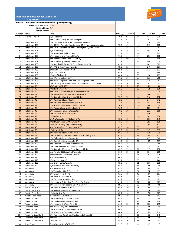

#### **Traffic Noise Spreadsheet Calculator**

**Existing + Project**

| Project: |  | <b>Tuolumne County General Plan Update (existing)</b> |  |  |  |
|----------|--|-------------------------------------------------------|--|--|--|
|----------|--|-------------------------------------------------------|--|--|--|

**Noise Level Descriptor:** CNEL

**Site Conditions: Soft** 

|                | <b>Traffic K-Factor:</b>   |                                                                             |                 |                |          |     |          |     |          |     |          |
|----------------|----------------------------|-----------------------------------------------------------------------------|-----------------|----------------|----------|-----|----------|-----|----------|-----|----------|
| <b>Number</b>  | <b>Name</b>                | From                                                                        | $(dBA)_{5,6,7}$ |                | $70$ dBA |     | $65$ dBA |     | $60$ dBA |     | $55$ dBA |
| 1              | <b>Existing + Project</b>  | w/o Tulloch rd                                                              | 70.1            | 92             |          | 198 |          | 427 |          | 920 |          |
| $\overline{2}$ |                            | 0 b/w O'Byrnes Ferry Rd & La Grange Rd                                      | 71.8            | 63             |          | 135 |          | 291 |          | 627 |          |
| 3              | State Route 108            | b/w La Grange Rd & SR 120 (Yosemite Junction)                               | 72.5            | 70             |          | 151 |          | 324 |          | 699 |          |
| 4              | State Route 108            | b/w SR 120 (Yosemite Junction) and SR 49 (Montezuma Junction)               | 72.4            | 69             |          | 148 |          | 319 |          | 688 |          |
| 5              | State Route 108            | b/w SR 49 (Stockton Rd) and S Washington St/Lime Kiln Rd                    | 72.9            | 75             |          | 161 |          | 347 |          | 747 |          |
| 6              | State Route 108            | w/o Mono Way                                                                | 73.1            | 76             |          | 164 |          | 354 |          | 762 |          |
| $\overline{7}$ | State Route 108            | b/w Mono Way and Hess Ave                                                   | 73.1            | 77             |          | 166 |          | 357 |          | 769 |          |
| 8              | <b>State Route 108</b>     | b/w Hess Ave and Peaceful Oak Rd                                            | 71.9            | 64             |          | 137 |          | 296 |          | 638 |          |
| 9              | State Route 108            | b/w Peaceful Oak Rd and Mono Way                                            | 71.5            | 60             |          | 129 |          | 277 |          | 596 |          |
| 10             | State Route 108            | b/w Mono Way and Soulsbyville Rd                                            | 71.6            | 77             |          | 166 |          | 359 |          | 773 |          |
| 11             | State Route 108            | b/w Soulsbyville Rd and W Conn. Twain Harte Dr                              | 69.1            | 52             |          | 112 |          | 242 |          | 522 |          |
| 12             | State Route 108            | b/w W & E Conn Twain Harte Dr                                               | 69.0            | 52             |          | 111 |          | 240 |          | 517 |          |
| 13             | State Route 108            | e/o East Conn. Twain Hart Rd                                                | 69.1            | 52             |          | 112 |          | 242 |          | 522 |          |
| 14             | State Route 108            | w/o Chief Fuller Rd                                                         | 68.3            | 37             |          | 79  |          | 171 |          | 369 |          |
| 15             | State Route 108            | e/o Chief Fuller Rd                                                         | 66.4            | 28             |          | 59  |          | 128 |          | 275 |          |
| 16             | State Route 108            | w/o West Long Barn Conn.                                                    | 66.2            | 26             |          | 57  |          | 123 |          | 265 |          |
| 17             | State Route 108            | b/w West Long Barn Conn. and East Long Barn Conn.                           | 67.1            | 38             |          | 83  |          | 178 |          | 383 |          |
|                | State Route 108            |                                                                             | 58.9            |                |          | 19  |          | 40  |          | 87  |          |
| 18<br>20       | <b>State Route 49</b>      | b/w Kennedy Meadows Rd and Tuolumne/Mono Countyline<br>s/o South Jct SR 120 | 59.1            | 9<br>9         |          | 19  |          | 41  |          | 89  |          |
|                |                            |                                                                             |                 |                |          |     |          |     |          |     |          |
| 21             | <b>State Route 49</b>      | n/o North SR 120 Jct                                                        | 61.8            | 14             |          | 29  |          | 63  |          | 136 |          |
| 22             | <b>State Route 49</b>      | b/w SR 49 (Montezuma Jct) & Bell Mooney Rd                                  | 72.6            | 71             |          | 154 |          | 331 |          | 714 |          |
| 23             | <b>State Route 49</b>      | b/w Bell Mooney Rd and South Jct Main St                                    | 72.8            | 73             |          | 158 |          | 340 |          | 732 |          |
| 24             | <b>State Route 49</b>      | b/w South Jct Main St and Rawhide Rd                                        | 72.8            | 73             |          | 158 |          | 340 |          | 732 |          |
| 25             | <b>State Route 49</b>      | b/w Rawhide Rd and Fifth Ave                                                | 72.9            | 74             |          | 160 |          | 344 |          | 742 |          |
| 26             | <b>State Route 49</b>      | b/w Fifth Ave and Stockton Rd/SR 108                                        | 73.6            | 83             |          | 180 |          | 387 |          | 835 |          |
| 27             | <b>State Route 49</b>      | btn SR 108 and Fairview Lane (Ponderosa)                                    | 70.7            | 53             |          | 114 |          | 246 |          | 530 |          |
| 28             | <b>State Route 49</b>      | b/w Fairview Lane and Southgate Dr                                          | 70.2            | 49             |          | 106 |          | 229 |          | 494 |          |
| 29             | <b>State Route 49</b>      | b/w Southgate Dr and Washington St                                          | 70.3            | 50             |          | 108 |          | 232 |          | 500 |          |
| 30             | <b>State Route 49</b>      | b/w Stockton Rd and Dodge St                                                | 72.6            | 71             |          | 153 |          | 330 |          | 712 |          |
| 31             | <b>State Route 49</b>      | n/o Dodge St                                                                | 72.8            | 73             |          | 158 |          | 341 |          | 734 |          |
| 32             | <b>State Route 49</b>      | s/o N Washington St / Columbia Way                                          | 72.0            | 65             |          | 140 |          | 301 |          | 649 |          |
| 33             | <b>State Route 49</b>      | n/o N Washington St / Columbia Way                                          | 71.8            | 63             |          | 136 |          | 292 |          | 630 |          |
| 34             | <b>State Route 49</b>      | e/o Parrotts Ferry Rd (Columbia WYE)                                        | 71.2            | 57             |          | 123 |          | 265 |          | 571 |          |
| 35             | <b>State Route 49</b>      | w/o Parrotts Ferry Rd (Columbia WYE)                                        | 67.0            | 30             |          | 65  |          | 139 |          | 299 |          |
| 36             | <b>State Route 49</b>      | e/o Rawhide Rd                                                              | 67.3            | 32             |          | 68  |          | 147 |          | 317 |          |
| 37             | <b>State Route 49</b>      | b/w Rawhide Rd and Turttletown                                              | 66.5            | 28             |          | 60  |          | 130 |          | 279 |          |
| 38             | <b>State Route 49</b>      | b/w Tuttletown and Tuolumne / Calveras County Line                          | 67.4            | 32             |          | 69  |          | 149 |          | 321 |          |
| 39             | State Route 120            | b/w Tulloch Rd and La Grange Rd                                             | 70.3            | 94             |          | 203 |          | 437 |          | 942 |          |
| 40             | State Route 120            | b/w East Jct 108 and North Jct SR 49                                        | 64.2            | 20             |          | 42  |          | 92  |          | 197 |          |
| 41             | State Route 120            | b/w North Jct SR 49 and Jacksonville Rd                                     | 65.7            | 25             |          | 53  |          | 114 |          | 246 |          |
| 42             | State Route 120            | b/w Jacksonville Rd and South Jct SR 49                                     | 66.9            | 30             |          | 64  |          | 138 |          | 297 |          |
| 43             | State Route 120            | b/w South Jct SR 49 and Priest-Coulterville Rd                              | 65.8            | 25             |          | 54  |          | 117 |          | 252 |          |
| 44             | State Route 120            | w/o Ferretti Rd (Groveland Townsite)                                        | 66.7            | 29             |          | 62  |          | 134 |          | 289 |          |
| 45             | State Route 120            | e/o Ferretti Rd (Groveland Townsite)                                        | 67.6            | 33             |          | 71  |          | 152 |          | 328 |          |
| 46             | State Route 120            | w/o Hells Hollow Rd                                                         | 66.8            | 29             |          | 63  |          | 135 |          | 291 |          |
| 47             | State Route 120            | e/o Smiths Station Rd                                                       | 65.7            | 25             |          | 53  |          | 115 |          | 248 |          |
| 48             | State Route 120            | w/o Cherry Valley/Lake Rd                                                   | 65.5            | 24             |          | 51  |          | 111 |          | 239 |          |
| 49             | State Route 120            | w/oYosemite Park West Boundary                                              | 65.4            | 23             |          | 51  |          | 109 |          | 234 |          |
| 50             | Mono Way                   | w/o Sanguinetti Rd                                                          | 63.8            | 19             |          | 41  |          | 88  |          | 191 |          |
| 51             | Mono Way                   | b/W Sanguinetti Rd & Greenley Rd                                            | 62.6            | 16             |          | 34  |          | 74  |          | 159 |          |
| 52             | Mono Way                   | b/w Greenley Rd & Fir Dr                                                    | 63.6            | 19             |          | 40  |          | 87  |          | 187 |          |
| 53             | Mono Way                   | b/w Fir Dr & Tuolumne Rd                                                    | 64.3            | 21             |          | 44  |          | 96  |          | 207 |          |
| 54             | Mono Way                   | b/w Tuolumne Rd & Hess Ave                                                  | 61.2            | 13             |          | 28  |          | 60  |          | 129 |          |
| 55             | Mono Way                   | b/w Hess Ave & Standard Rd / Peaceful Oak Dr                                | 61.1            | 13             |          | 27  |          | 59  |          | 127 |          |
| 56             | Mono Way                   | b/w Standard Rd/Peaceful Oak Dr & SR 108                                    | 59.0            | 9              |          | 20  |          | 43  |          | 92  |          |
| 60             | Parrotts Ferry Road        | b/w SR 49 & Sawmill Flat Rd                                                 | 64.1            | 20             |          | 43  |          | 93  |          | 201 |          |
| 61             | Parrotts Ferry Road        | b/w Sawmill Flat Rd & Springfield Dr                                        | 62.6            | 16             |          | 35  |          | 74  |          | 160 |          |
| 62             | Parrotts Ferry Road        | n/o Springfield Dr                                                          | 62.7            | 16             |          | 35  |          | 75  |          | 163 |          |
| 63             | Parrotts Ferry Road        | s/o Calaveras County Line                                                   | 59.8            | 10             |          | 22  |          | 48  |          | 103 |          |
| 75             | <b>Tuolumne Road</b>       | b/w Mono Way & Lambert lake Rd                                              | 65.5            | 25             |          | 53  |          | 115 |          | 248 |          |
| 76             | Tuolumne Road              | b/w Lambert Lake Rd & Hess Ave                                              | 64.8            | 22             |          | 48  |          | 104 |          | 224 |          |
| 77             | Tuolumne Road              | b/w Hess Ave & Wards Ferry Rd                                               | 64.5            | 22             |          | 46  |          | 100 |          | 215 |          |
| 78             | Tuolumne Road              | b/w Wards Ferry Rd & Standard Rd                                            | 64.4            | 21             |          | 45  |          | 97  |          | 209 |          |
| 79             | Tuolumne Road              | b/w Standard Rd & Woodhams Carne                                            | 64.4            | 21             |          | 46  |          | 98  |          | 211 |          |
| 80             | Tuolumne Road              | b/w Woodhams Carne & Cherokee Rd                                            | 64.4            | 21             |          | 45  |          | 98  |          | 210 |          |
|                | <b>Tuolumne Road North</b> | b/w Tuolumne Rd & Black Oak Casino Entrance St                              |                 | 14             |          | 30  |          | 65  |          | 140 |          |
| 104            |                            | n/o Mi Wu St                                                                | 61.7            |                |          |     |          |     |          | 72  |          |
| 105            | <b>Tuolumne Road North</b> |                                                                             | 57.4            | $\overline{7}$ |          | 16  |          | 34  |          |     |          |
| 106            | <b>Tuolumne Road North</b> | n/o East Ave                                                                | 55.2            | 5              |          | 11  |          | 24  |          | 51  |          |
| 144            | <b>Other Roads</b>         | Smith Station Rd, s/o SR 120                                                | 51.0            | 3              |          | 6   |          | 12  |          | 27  |          |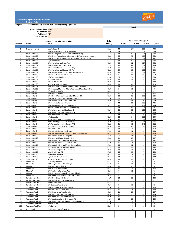

**Traffic Noise Spreadsheet Calculator** 

**Existing + Project**

|                | <b>EXISTING + Project</b>                                                      |                                                                      |                 |                                                   |               |            |            |  |  |  |  |
|----------------|--------------------------------------------------------------------------------|----------------------------------------------------------------------|-----------------|---------------------------------------------------|---------------|------------|------------|--|--|--|--|
| Project:       | Tuolumne County General Plan Update (existing + project)                       |                                                                      |                 |                                                   |               |            |            |  |  |  |  |
|                |                                                                                |                                                                      |                 | Output                                            |               |            |            |  |  |  |  |
|                | <b>Noise Level Descriptor: CNEL</b>                                            |                                                                      |                 |                                                   |               |            |            |  |  |  |  |
|                | <b>Site Conditions: Soft</b><br>Traffic Input: ADT<br><b>Traffic K-Factor:</b> |                                                                      |                 |                                                   |               |            |            |  |  |  |  |
|                |                                                                                |                                                                      |                 |                                                   |               |            |            |  |  |  |  |
|                |                                                                                |                                                                      |                 |                                                   |               |            |            |  |  |  |  |
|                | <b>Segment Description and Location</b>                                        |                                                                      |                 | Distance to Contour, (feet) <sub>3</sub><br>CNEL, |               |            |            |  |  |  |  |
| Number         | <b>Name</b>                                                                    | From                                                                 | $(dBA)_{5,6,7}$ | <b>75 dBA</b>                                     | 60 dBA        |            |            |  |  |  |  |
|                |                                                                                |                                                                      |                 |                                                   | <b>70 dBA</b> | 65 dBA     |            |  |  |  |  |
| $\mathbf{1}$   | Existing + Project                                                             | w/o Tulloch rd                                                       | 71.1            | 49                                                | 106           | 229        | 493        |  |  |  |  |
| $\overline{2}$ |                                                                                | 0 b/w O'Byrnes Ferry Rd & La Grange Rd                               | 72.8            | 34                                                | 73            | 157        | 339        |  |  |  |  |
| 3              | State Route 108                                                                | b/w La Grange Rd & SR 120 (Yosemite Junction)                        | 73.4            | 37                                                | 81            | 174        | 374        |  |  |  |  |
| 4              | State Route 108                                                                | b/w SR 120 (Yosemite Junction) and SR 49 (Montezuma Junction)        | 73.2            | 36                                                | 78            | 168        | 361        |  |  |  |  |
| 5              | State Route 108                                                                | b/w SR 49 (Stockton Rd) and S Washington St/Lime Kiln Rd             | 73.5            | 38                                                | 82            | 177        | 381        |  |  |  |  |
| 6              | State Route 108                                                                | w/o Mono Way                                                         | 73.6            | 38                                                | 83            | 178        | 384        |  |  |  |  |
| $\overline{7}$ | State Route 108                                                                | b/w Mono Way and Hess Ave                                            | 73.5            | 38                                                | 82            | 177        | 382        |  |  |  |  |
| 8              | State Route 108                                                                | b/w Hess Ave and Peaceful Oak Rd                                     | 72.3            | 32                                                | 68            | 147        | 316        |  |  |  |  |
| 9              | State Route 108                                                                | b/w Peaceful Oak Rd and Mono Way                                     | 71.9            | 30                                                | 64            | 137        | 296        |  |  |  |  |
| 10             | State Route 108                                                                | b/w Mono Way and Soulsbyville Rd                                     | 72.2            | 39                                                | 85            | 183        | 393        |  |  |  |  |
| 11             | State Route 108                                                                | b/w Soulsbyville Rd and W Conn. Twain Harte Dr                       | 69.5            | 26                                                | 55            | 119        | 257        |  |  |  |  |
| 12             | State Route 108                                                                | b/w W & E Conn Twain Harte Dr                                        | 69.3            | 25                                                | 54            | 116        | 250        |  |  |  |  |
| 13             | State Route 108                                                                | e/o East Conn. Twain Hart Rd                                         | 69.3            | 25                                                | 54            | 116        | 250        |  |  |  |  |
| 14             | State Route 108                                                                | w/o Chief Fuller Rd                                                  | 68.5            | 18                                                | 38            | 82         | 177        |  |  |  |  |
| 15             | State Route 108                                                                | e/o Chief Fuller Rd                                                  | 66.7            | 13                                                | 29            | 62         | 133        |  |  |  |  |
| 16             | State Route 108                                                                | w/o West Long Barn Conn.                                             | 66.4            | 13                                                | 28            | 59         | 128        |  |  |  |  |
| 17             | State Route 108                                                                | b/w West Long Barn Conn. and East Long Barn Conn.                    | 67.3            | 18                                                | 40            | 85         | 184        |  |  |  |  |
| 18             | State Route 108                                                                | b/w Kennedy Meadows Rd and Tuolumne/Mono Countyline                  | 60.0            | 5                                                 | 10            | 22         | 47         |  |  |  |  |
| 20             | State Route 49                                                                 | s/o South Jct SR 120                                                 | 60.2            | 5                                                 | 11            | 23         | 49         |  |  |  |  |
| 21             | State Route 49                                                                 | n/o North SR 120 Jct                                                 | 65.3            | 11                                                | 23            | 50         | 107        |  |  |  |  |
| 22             | State Route 49                                                                 | b/w SR 49 (Montezuma Jct) & Bell Mooney Rd                           | 73.6            | 38                                                | 83            | 179        | 385        |  |  |  |  |
| 23             | State Route 49                                                                 | b/w Bell Mooney Rd and South Jct Main St                             | 73.8            | 39                                                | 85            | 183        | 394        |  |  |  |  |
| 24             | State Route 49                                                                 | b/w South Jct Main St and Rawhide Rd                                 | 74.0            | 41                                                | 88            | 190        | 409        |  |  |  |  |
| 25             | State Route 49                                                                 | b/w Rawhide Rd and Fifth Ave<br>b/w Fifth Ave and Stockton Rd/SR 108 | 74.5<br>74.7    | 44                                                | 96<br>98      | 206        | 445<br>455 |  |  |  |  |
| 26<br>27       | State Route 49<br>State Route 49                                               | btn SR 108 and Fairview Lane (Ponderosa)                             | 71.4            | 45<br>28                                          | 59            | 211<br>128 | 275        |  |  |  |  |
| 28             | State Route 49                                                                 | b/w Fairview Lane and Southgate Dr                                   | 70.9            | 26                                                | 55            | 119        | 256        |  |  |  |  |
| 29             | State Route 49                                                                 | b/w Southgate Dr and Washington St                                   | 71.6            | 28                                                | 61            | 132        | 284        |  |  |  |  |
| 30             | State Route 49                                                                 | b/w Stockton Rd and Dodge St                                         | 72.5            | 32                                                | 70            | 150        | 323        |  |  |  |  |
| 31             | State Route 49                                                                 | n/o Dodge St                                                         | 72.0            | 30                                                | 64            | 139        | 299        |  |  |  |  |
| 32             | State Route 49                                                                 | s/o N Washington St / Columbia Way                                   | 70.9            | 26                                                | 55            | 119        | 256        |  |  |  |  |
| 33             | State Route 49                                                                 | n/o N Washington St / Columbia Way                                   | 70.9            | 25                                                | 55            | 118        | 255        |  |  |  |  |
| 34             | State Route 49                                                                 | e/o Parrotts Ferry Rd (Columbia WYE)                                 | 72.2            | 31                                                | 67            | 145        | 312        |  |  |  |  |
| 35             | State Route 49                                                                 | w/o Parrotts Ferry Rd (Columbia WYE)                                 | 68.8            | 18                                                | 40            | 86         | 184        |  |  |  |  |
| 36             | State Route 49                                                                 | e/o Rawhide Rd                                                       | 68.1            | 17                                                | 36            | 77         | 167        |  |  |  |  |
| 37             | State Route 49                                                                 | b/w Rawhide Rd and Turttletown                                       | 67.4            | 15                                                | 32            | 69         | 150        |  |  |  |  |
| 38             | <b>State Route 49</b>                                                          | b/w Tuttletown and Tuolumne / Calveras County Line                   | 68.2            | 17                                                | 36            | 78         | 168        |  |  |  |  |
| 39             | State Route 120                                                                | b/w Tulloch Rd and La Grange Rd                                      | 71.2            | 50                                                | 108           | 233        | 503        |  |  |  |  |
| 40             | State Route 120                                                                | b/w East Jct 108 and North Jct SR 49                                 | 65.3            | 11                                                | 23            | 50         | 107        |  |  |  |  |
| 41             | State Route 120                                                                | b/w North Jct SR 49 and Jacksonville Rd                              | 67.8            | 16                                                | 34            | 73         | 157        |  |  |  |  |
| 42             | State Route 120                                                                | b/w Jacksonville Rd and South Jct SR 49                              | 67.9            | 16                                                | 34            | 74         | 160        |  |  |  |  |
| 43             | State Route 120                                                                | b/w South Jct SR 49 and Priest-Coulterville Rd                       | 67.4            | 15                                                | 32            | 69         | 148        |  |  |  |  |
| 44             | State Route 120                                                                | w/o Ferretti Rd (Groveland Townsite)                                 | 67.8            | 16                                                | 34            | 73         | 158        |  |  |  |  |

| 44  | State Route 120            | w/o Ferretti Rd (Groveland Townsite)           | 67.8 | 16             | 34 | 73 | 158 |  |
|-----|----------------------------|------------------------------------------------|------|----------------|----|----|-----|--|
| 45  | State Route 120            | e/o Ferretti Rd (Groveland Townsite)           | 68.2 | 17             | 36 | 78 | 168 |  |
| 46  | State Route 120            | w/o Hells Hollow Rd                            | 67.6 | 15             | 33 | 71 | 153 |  |
| 47  | State Route 120            | e/o Smiths Station Rd                          | 66.7 | 13             | 29 | 62 | 133 |  |
| 48  | State Route 120            | w/o Cherry Valley/Lake Rd                      | 66.5 | 13             | 28 | 60 | 129 |  |
| 49  | State Route 120            | w/oYosemite Park West Boundary                 | 66.4 | 13             | 27 | 59 | 127 |  |
| 50  | Mono Way                   | w/o Sanguinetti Rd                             | 63.7 | 9              | 19 | 41 | 88  |  |
| 51  | Mono Way                   | b/W Sanguinetti Rd & Greenley Rd               | 62.7 | 8              | 16 | 35 | 76  |  |
| 52  | Mono Way                   | b/w Greenley Rd & Fir Dr                       | 64.3 | 10             | 21 | 44 | 96  |  |
| 53  | Mono Way                   | b/w Fir Dr & Tuolumne Rd                       | 65.1 | 11             | 23 | 50 | 108 |  |
| 54  | Mono Way                   | b/w Tuolumne Rd & Hess Ave                     | 62.4 | $\overline{7}$ | 15 | 33 | 71  |  |
| 55  | Mono Way                   | b/w Hess Ave & Standard Rd / Peaceful Oak Dr   | 62.2 | $\overline{7}$ | 15 | 32 | 70  |  |
| 56  | Mono Way                   | b/w Standard Rd/Peaceful Oak Dr & SR 108       | 59.5 | 5              | 10 | 21 | 46  |  |
| 60  | Parrotts Ferry Road        | b/w SR 49 & Sawmill Flat Rd                    | 64.7 | 10             | 22 | 48 | 103 |  |
| 61  | Parrotts Ferry Road        | b/w Sawmill Flat Rd & Springfield Dr           | 63.1 | 8              | 17 | 37 | 81  |  |
| 62  | Parrotts Ferry Road        | n/o Springfield Dr                             | 63.2 | 8              | 17 | 37 | 81  |  |
| 63  | Parrotts Ferry Road        | s/o Calaveras County Line                      | 60.4 | 5              | 11 | 25 | 53  |  |
| 75  | Tuolumne Road              | b/w Mono Way & Lambert lake Rd                 | 65.8 | 12             | 26 | 56 | 120 |  |
| 76  | Tuolumne Road              | b/w Lambert Lake Rd & Hess Ave                 | 65.3 | 11             | 24 | 52 | 112 |  |
| 77  | <b>Tuolumne Road</b>       | b/w Hess Ave & Wards Ferry Rd                  | 65.0 | 11             | 23 | 50 | 107 |  |
| 78  | Tuolumne Road              | b/w Wards Ferry Rd & Standard Rd               | 64.9 | 11             | 23 | 49 | 105 |  |
| 79  | <b>Tuolumne Road</b>       | b/w Standard Rd & Woodhams Carne               | 65.0 | 11             | 23 | 50 | 108 |  |
| 80  | Tuolumne Road              | b/w Woodhams Carne & Cherokee Rd               | 64.9 | 10             | 23 | 49 | 105 |  |
| 104 | Tuolumne Road North        | b/w Tuolumne Rd & Black Oak Casino Entrance St | 62.0 | $\overline{7}$ | 14 | 31 | 67  |  |
| 105 | <b>Tuolumne Road North</b> | n/o Mi Wu St                                   | 57.9 | $\overline{4}$ | 8  | 17 | 36  |  |
| 106 | <b>Tuolumne Road North</b> | n/o East Ave                                   | 55.4 | $\overline{2}$ | 5  | 11 | 25  |  |
| 144 | <b>Other Roads</b>         | Smith Station Rd, s/o SR 120                   | 51.7 | $\mathbf{1}$   | 3  | 6  | 14  |  |
|     |                            |                                                |      |                |    |    |     |  |
|     |                            |                                                |      |                |    |    |     |  |
|     |                            |                                                |      |                |    |    |     |  |
|     |                            |                                                |      |                |    |    |     |  |